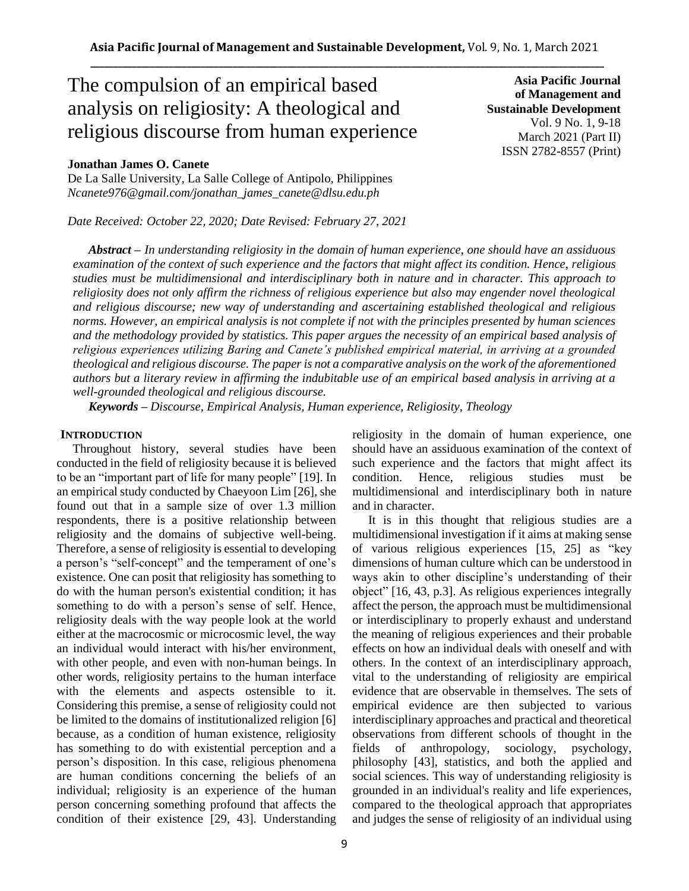# The compulsion of an empirical based analysis on religiosity: A theological and religious discourse from human experience

## **Jonathan James O. Canete**

De La Salle University, La Salle College of Antipolo, Philippines *Ncanete976@gmail.com/jonathan\_james\_canete@dlsu.edu.ph*

*Date Received: October 22, 2020; Date Revised: February 27, 2021*

**Asia Pacific Journal of Management and Sustainable Development**  Vol. 9 No. 1, 9-18 March 2021 (Part II) ISSN 2782-8557 (Print)

*Abstract – In understanding religiosity in the domain of human experience, one should have an assiduous examination of the context of such experience and the factors that might affect its condition. Hence, religious studies must be multidimensional and interdisciplinary both in nature and in character. This approach to religiosity does not only affirm the richness of religious experience but also may engender novel theological and religious discourse; new way of understanding and ascertaining established theological and religious norms. However, an empirical analysis is not complete if not with the principles presented by human sciences and the methodology provided by statistics. This paper argues the necessity of an empirical based analysis of religious experiences utilizing Baring and Canete's published empirical material, in arriving at a grounded theological and religious discourse. The paper is not a comparative analysis on the work of the aforementioned authors but a literary review in affirming the indubitable use of an empirical based analysis in arriving at a well-grounded theological and religious discourse.* 

*Keywords – Discourse, Empirical Analysis, Human experience, Religiosity, Theology*

## **INTRODUCTION**

Throughout history, several studies have been conducted in the field of religiosity because it is believed to be an "important part of life for many people" [19]. In an empirical study conducted by Chaeyoon Lim [26], she found out that in a sample size of over 1.3 million respondents, there is a positive relationship between religiosity and the domains of subjective well-being. Therefore, a sense of religiosity is essential to developing a person's "self-concept" and the temperament of one's existence. One can posit that religiosity has something to do with the human person's existential condition; it has something to do with a person's sense of self. Hence, religiosity deals with the way people look at the world either at the macrocosmic or microcosmic level, the way an individual would interact with his/her environment, with other people, and even with non-human beings. In other words, religiosity pertains to the human interface with the elements and aspects ostensible to it. Considering this premise, a sense of religiosity could not be limited to the domains of institutionalized religion [6] because, as a condition of human existence, religiosity has something to do with existential perception and a person's disposition. In this case, religious phenomena are human conditions concerning the beliefs of an individual; religiosity is an experience of the human person concerning something profound that affects the condition of their existence [29, 43]. Understanding religiosity in the domain of human experience, one should have an assiduous examination of the context of such experience and the factors that might affect its condition. Hence, religious studies must be multidimensional and interdisciplinary both in nature and in character.

It is in this thought that religious studies are a multidimensional investigation if it aims at making sense of various religious experiences [15, 25] as "key dimensions of human culture which can be understood in ways akin to other discipline's understanding of their object" [16, 43, p.3]. As religious experiences integrally affect the person, the approach must be multidimensional or interdisciplinary to properly exhaust and understand the meaning of religious experiences and their probable effects on how an individual deals with oneself and with others. In the context of an interdisciplinary approach, vital to the understanding of religiosity are empirical evidence that are observable in themselves. The sets of empirical evidence are then subjected to various interdisciplinary approaches and practical and theoretical observations from different schools of thought in the fields of anthropology, sociology, psychology, philosophy [43], statistics, and both the applied and social sciences. This way of understanding religiosity is grounded in an individual's reality and life experiences, compared to the theological approach that appropriates and judges the sense of religiosity of an individual using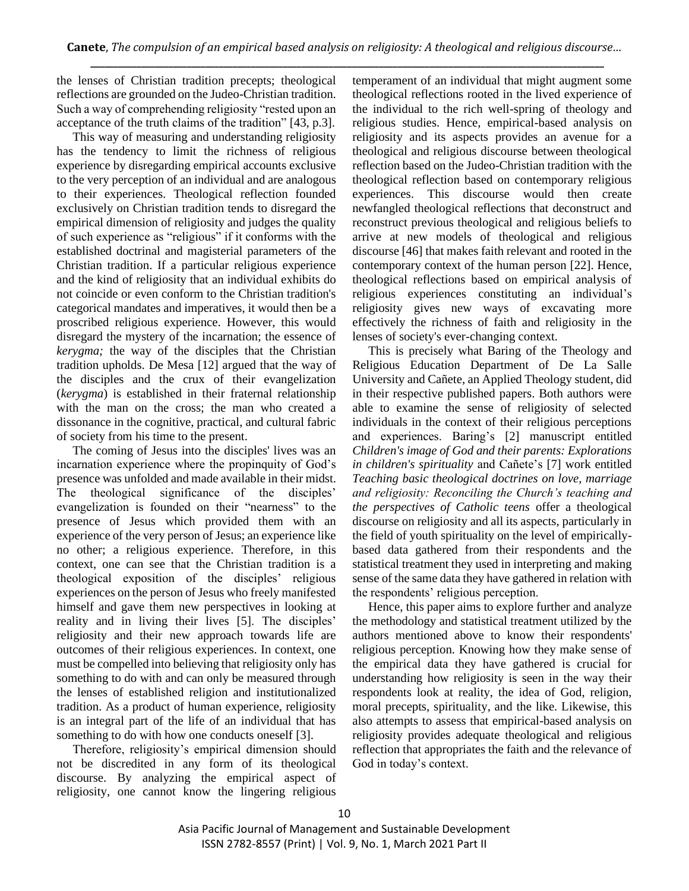the lenses of Christian tradition precepts; theological reflections are grounded on the Judeo-Christian tradition. Such a way of comprehending religiosity "rested upon an acceptance of the truth claims of the tradition" [43, p.3].

This way of measuring and understanding religiosity has the tendency to limit the richness of religious experience by disregarding empirical accounts exclusive to the very perception of an individual and are analogous to their experiences. Theological reflection founded exclusively on Christian tradition tends to disregard the empirical dimension of religiosity and judges the quality of such experience as "religious" if it conforms with the established doctrinal and magisterial parameters of the Christian tradition. If a particular religious experience and the kind of religiosity that an individual exhibits do not coincide or even conform to the Christian tradition's categorical mandates and imperatives, it would then be a proscribed religious experience. However, this would disregard the mystery of the incarnation; the essence of *kerygma;* the way of the disciples that the Christian tradition upholds. De Mesa [12] argued that the way of the disciples and the crux of their evangelization (*kerygma*) is established in their fraternal relationship with the man on the cross; the man who created a dissonance in the cognitive, practical, and cultural fabric of society from his time to the present.

The coming of Jesus into the disciples' lives was an incarnation experience where the propinquity of God's presence was unfolded and made available in their midst. The theological significance of the disciples' evangelization is founded on their "nearness" to the presence of Jesus which provided them with an experience of the very person of Jesus; an experience like no other; a religious experience. Therefore, in this context, one can see that the Christian tradition is a theological exposition of the disciples' religious experiences on the person of Jesus who freely manifested himself and gave them new perspectives in looking at reality and in living their lives [5]. The disciples' religiosity and their new approach towards life are outcomes of their religious experiences. In context, one must be compelled into believing that religiosity only has something to do with and can only be measured through the lenses of established religion and institutionalized tradition. As a product of human experience, religiosity is an integral part of the life of an individual that has something to do with how one conducts oneself [3].

Therefore, religiosity's empirical dimension should not be discredited in any form of its theological discourse. By analyzing the empirical aspect of religiosity, one cannot know the lingering religious temperament of an individual that might augment some theological reflections rooted in the lived experience of the individual to the rich well-spring of theology and religious studies. Hence, empirical-based analysis on religiosity and its aspects provides an avenue for a theological and religious discourse between theological reflection based on the Judeo-Christian tradition with the theological reflection based on contemporary religious experiences. This discourse would then create newfangled theological reflections that deconstruct and reconstruct previous theological and religious beliefs to arrive at new models of theological and religious discourse [46] that makes faith relevant and rooted in the contemporary context of the human person [22]. Hence, theological reflections based on empirical analysis of religious experiences constituting an individual's religiosity gives new ways of excavating more effectively the richness of faith and religiosity in the lenses of society's ever-changing context.

This is precisely what Baring of the Theology and Religious Education Department of De La Salle University and Cañete, an Applied Theology student, did in their respective published papers. Both authors were able to examine the sense of religiosity of selected individuals in the context of their religious perceptions and experiences. Baring's [2] manuscript entitled *Children's image of God and their parents: Explorations in children's spirituality* and Cañete's [7] work entitled *Teaching basic theological doctrines on love, marriage and religiosity: Reconciling the Church's teaching and the perspectives of Catholic teens* offer a theological discourse on religiosity and all its aspects, particularly in the field of youth spirituality on the level of empiricallybased data gathered from their respondents and the statistical treatment they used in interpreting and making sense of the same data they have gathered in relation with the respondents' religious perception.

Hence, this paper aims to explore further and analyze the methodology and statistical treatment utilized by the authors mentioned above to know their respondents' religious perception. Knowing how they make sense of the empirical data they have gathered is crucial for understanding how religiosity is seen in the way their respondents look at reality, the idea of God, religion, moral precepts, spirituality, and the like. Likewise, this also attempts to assess that empirical-based analysis on religiosity provides adequate theological and religious reflection that appropriates the faith and the relevance of God in today's context.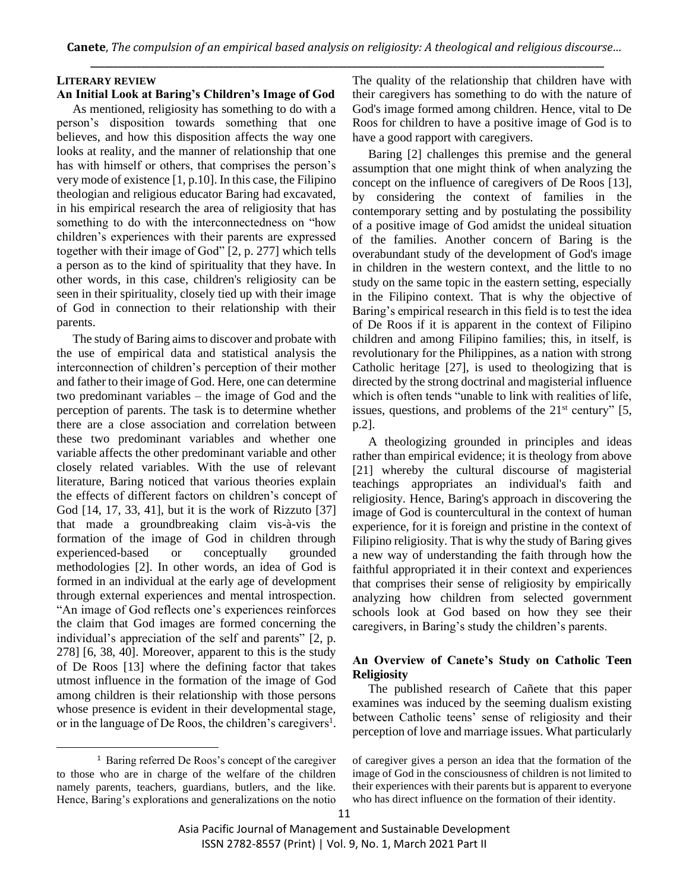## **LITERARY REVIEW**

#### **An Initial Look at Baring's Children's Image of God**

As mentioned, religiosity has something to do with a person's disposition towards something that one believes, and how this disposition affects the way one looks at reality, and the manner of relationship that one has with himself or others, that comprises the person's very mode of existence [1, p.10]. In this case, the Filipino theologian and religious educator Baring had excavated, in his empirical research the area of religiosity that has something to do with the interconnectedness on "how children's experiences with their parents are expressed together with their image of God" [2, p. 277] which tells a person as to the kind of spirituality that they have. In other words, in this case, children's religiosity can be seen in their spirituality, closely tied up with their image of God in connection to their relationship with their parents.

The study of Baring aims to discover and probate with the use of empirical data and statistical analysis the interconnection of children's perception of their mother and father to their image of God. Here, one can determine two predominant variables – the image of God and the perception of parents. The task is to determine whether there are a close association and correlation between these two predominant variables and whether one variable affects the other predominant variable and other closely related variables. With the use of relevant literature, Baring noticed that various theories explain the effects of different factors on children's concept of God [14, 17, 33, 41], but it is the work of Rizzuto [37] that made a groundbreaking claim vis-à-vis the formation of the image of God in children through experienced-based or conceptually grounded methodologies [2]. In other words, an idea of God is formed in an individual at the early age of development through external experiences and mental introspection. "An image of God reflects one's experiences reinforces the claim that God images are formed concerning the individual's appreciation of the self and parents" [2, p. 278] [6, 38, 40]. Moreover, apparent to this is the study of De Roos [13] where the defining factor that takes utmost influence in the formation of the image of God among children is their relationship with those persons whose presence is evident in their developmental stage, or in the language of De Roos, the children's caregivers<sup>1</sup>. The quality of the relationship that children have with their caregivers has something to do with the nature of God's image formed among children. Hence, vital to De Roos for children to have a positive image of God is to have a good rapport with caregivers.

Baring [2] challenges this premise and the general assumption that one might think of when analyzing the concept on the influence of caregivers of De Roos [13], by considering the context of families in the contemporary setting and by postulating the possibility of a positive image of God amidst the unideal situation of the families. Another concern of Baring is the overabundant study of the development of God's image in children in the western context, and the little to no study on the same topic in the eastern setting, especially in the Filipino context. That is why the objective of Baring's empirical research in this field is to test the idea of De Roos if it is apparent in the context of Filipino children and among Filipino families; this, in itself, is revolutionary for the Philippines, as a nation with strong Catholic heritage [27], is used to theologizing that is directed by the strong doctrinal and magisterial influence which is often tends "unable to link with realities of life, issues, questions, and problems of the  $21<sup>st</sup>$  century" [5, p.2].

A theologizing grounded in principles and ideas rather than empirical evidence; it is theology from above [21] whereby the cultural discourse of magisterial teachings appropriates an individual's faith and religiosity. Hence, Baring's approach in discovering the image of God is countercultural in the context of human experience, for it is foreign and pristine in the context of Filipino religiosity. That is why the study of Baring gives a new way of understanding the faith through how the faithful appropriated it in their context and experiences that comprises their sense of religiosity by empirically analyzing how children from selected government schools look at God based on how they see their caregivers, in Baring's study the children's parents.

## **An Overview of Canete's Study on Catholic Teen Religiosity**

The published research of Cañete that this paper examines was induced by the seeming dualism existing between Catholic teens' sense of religiosity and their perception of love and marriage issues. What particularly

<sup>&</sup>lt;sup>1</sup> Baring referred De Roos's concept of the caregiver to those who are in charge of the welfare of the children namely parents, teachers, guardians, butlers, and the like. Hence, Baring's explorations and generalizations on the notio

of caregiver gives a person an idea that the formation of the image of God in the consciousness of children is not limited to their experiences with their parents but is apparent to everyone who has direct influence on the formation of their identity.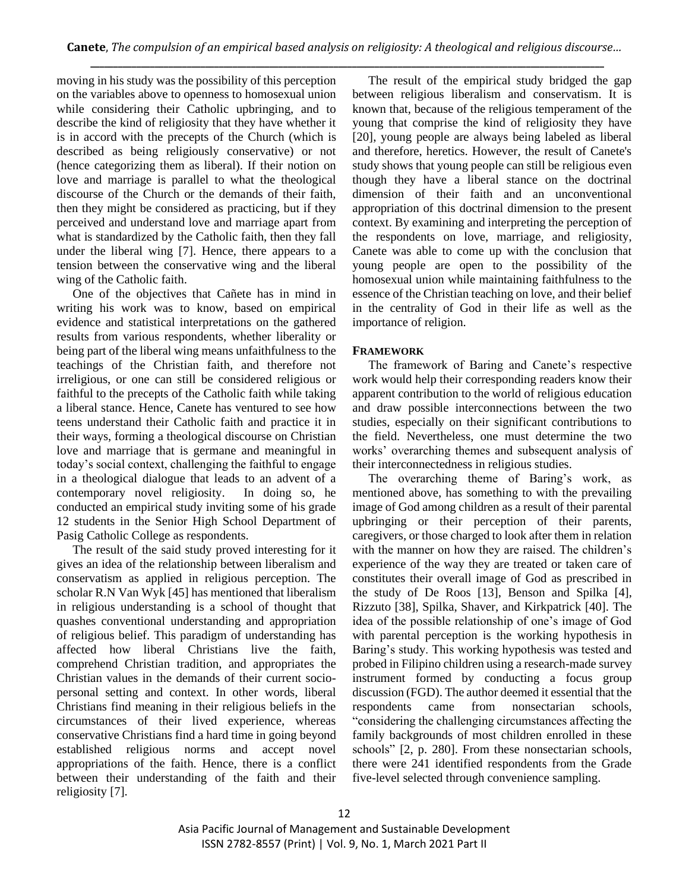moving in his study was the possibility of this perception on the variables above to openness to homosexual union while considering their Catholic upbringing, and to describe the kind of religiosity that they have whether it is in accord with the precepts of the Church (which is described as being religiously conservative) or not (hence categorizing them as liberal). If their notion on love and marriage is parallel to what the theological discourse of the Church or the demands of their faith, then they might be considered as practicing, but if they perceived and understand love and marriage apart from what is standardized by the Catholic faith, then they fall under the liberal wing [7]. Hence, there appears to a tension between the conservative wing and the liberal wing of the Catholic faith.

One of the objectives that Cañete has in mind in writing his work was to know, based on empirical evidence and statistical interpretations on the gathered results from various respondents, whether liberality or being part of the liberal wing means unfaithfulness to the teachings of the Christian faith, and therefore not irreligious, or one can still be considered religious or faithful to the precepts of the Catholic faith while taking a liberal stance. Hence, Canete has ventured to see how teens understand their Catholic faith and practice it in their ways, forming a theological discourse on Christian love and marriage that is germane and meaningful in today's social context, challenging the faithful to engage in a theological dialogue that leads to an advent of a contemporary novel religiosity. In doing so, he conducted an empirical study inviting some of his grade 12 students in the Senior High School Department of Pasig Catholic College as respondents.

The result of the said study proved interesting for it gives an idea of the relationship between liberalism and conservatism as applied in religious perception. The scholar R.N Van Wyk [45] has mentioned that liberalism in religious understanding is a school of thought that quashes conventional understanding and appropriation of religious belief. This paradigm of understanding has affected how liberal Christians live the faith, comprehend Christian tradition, and appropriates the Christian values in the demands of their current sociopersonal setting and context. In other words, liberal Christians find meaning in their religious beliefs in the circumstances of their lived experience, whereas conservative Christians find a hard time in going beyond established religious norms and accept novel appropriations of the faith. Hence, there is a conflict between their understanding of the faith and their religiosity [7].

The result of the empirical study bridged the gap between religious liberalism and conservatism. It is known that, because of the religious temperament of the young that comprise the kind of religiosity they have [20], young people are always being labeled as liberal and therefore, heretics. However, the result of Canete's study shows that young people can still be religious even though they have a liberal stance on the doctrinal dimension of their faith and an unconventional appropriation of this doctrinal dimension to the present context. By examining and interpreting the perception of the respondents on love, marriage, and religiosity, Canete was able to come up with the conclusion that young people are open to the possibility of the homosexual union while maintaining faithfulness to the essence of the Christian teaching on love, and their belief in the centrality of God in their life as well as the importance of religion.

# **FRAMEWORK**

The framework of Baring and Canete's respective work would help their corresponding readers know their apparent contribution to the world of religious education and draw possible interconnections between the two studies, especially on their significant contributions to the field. Nevertheless, one must determine the two works' overarching themes and subsequent analysis of their interconnectedness in religious studies.

The overarching theme of Baring's work, as mentioned above, has something to with the prevailing image of God among children as a result of their parental upbringing or their perception of their parents, caregivers, or those charged to look after them in relation with the manner on how they are raised. The children's experience of the way they are treated or taken care of constitutes their overall image of God as prescribed in the study of De Roos [13], Benson and Spilka [4], Rizzuto [38], Spilka, Shaver, and Kirkpatrick [40]. The idea of the possible relationship of one's image of God with parental perception is the working hypothesis in Baring's study. This working hypothesis was tested and probed in Filipino children using a research-made survey instrument formed by conducting a focus group discussion (FGD). The author deemed it essential that the respondents came from nonsectarian schools, "considering the challenging circumstances affecting the family backgrounds of most children enrolled in these schools" [2, p. 280]. From these nonsectarian schools, there were 241 identified respondents from the Grade five-level selected through convenience sampling.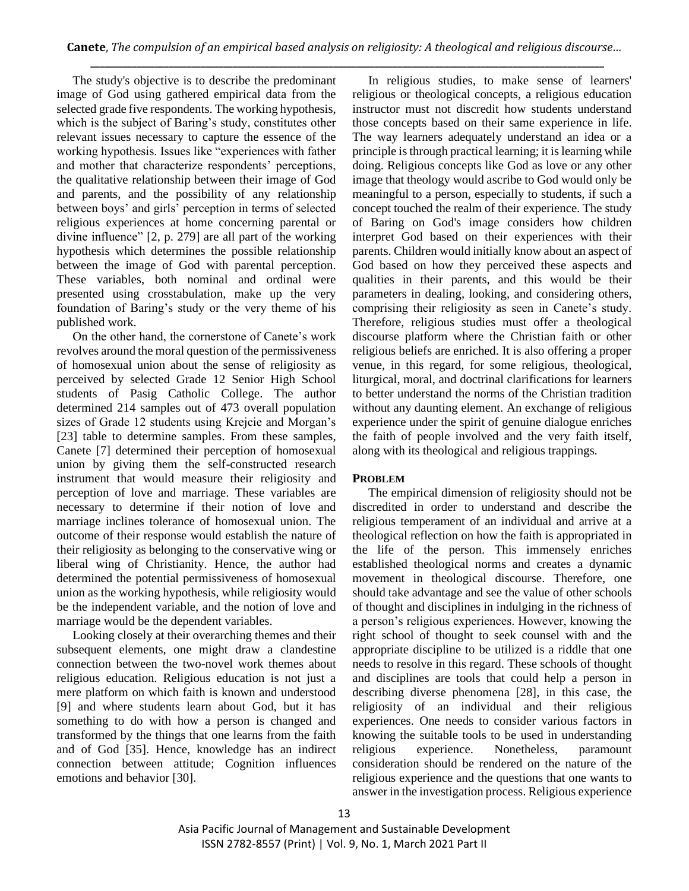The study's objective is to describe the predominant image of God using gathered empirical data from the selected grade five respondents. The working hypothesis, which is the subject of Baring's study, constitutes other relevant issues necessary to capture the essence of the working hypothesis. Issues like "experiences with father and mother that characterize respondents' perceptions, the qualitative relationship between their image of God and parents, and the possibility of any relationship between boys' and girls' perception in terms of selected religious experiences at home concerning parental or divine influence" [2, p. 279] are all part of the working hypothesis which determines the possible relationship between the image of God with parental perception. These variables, both nominal and ordinal were presented using crosstabulation, make up the very foundation of Baring's study or the very theme of his published work.

On the other hand, the cornerstone of Canete's work revolves around the moral question of the permissiveness of homosexual union about the sense of religiosity as perceived by selected Grade 12 Senior High School students of Pasig Catholic College. The author determined 214 samples out of 473 overall population sizes of Grade 12 students using Krejcie and Morgan's [23] table to determine samples. From these samples, Canete [7] determined their perception of homosexual union by giving them the self-constructed research instrument that would measure their religiosity and perception of love and marriage. These variables are necessary to determine if their notion of love and marriage inclines tolerance of homosexual union. The outcome of their response would establish the nature of their religiosity as belonging to the conservative wing or liberal wing of Christianity. Hence, the author had determined the potential permissiveness of homosexual union as the working hypothesis, while religiosity would be the independent variable, and the notion of love and marriage would be the dependent variables.

Looking closely at their overarching themes and their subsequent elements, one might draw a clandestine connection between the two-novel work themes about religious education. Religious education is not just a mere platform on which faith is known and understood [9] and where students learn about God, but it has something to do with how a person is changed and transformed by the things that one learns from the faith and of God [35]. Hence, knowledge has an indirect connection between attitude; Cognition influences emotions and behavior [30].

In religious studies, to make sense of learners' religious or theological concepts, a religious education instructor must not discredit how students understand those concepts based on their same experience in life. The way learners adequately understand an idea or a principle is through practical learning; it is learning while doing. Religious concepts like God as love or any other image that theology would ascribe to God would only be meaningful to a person, especially to students, if such a concept touched the realm of their experience. The study of Baring on God's image considers how children interpret God based on their experiences with their parents. Children would initially know about an aspect of God based on how they perceived these aspects and qualities in their parents, and this would be their parameters in dealing, looking, and considering others, comprising their religiosity as seen in Canete's study. Therefore, religious studies must offer a theological discourse platform where the Christian faith or other religious beliefs are enriched. It is also offering a proper venue, in this regard, for some religious, theological, liturgical, moral, and doctrinal clarifications for learners to better understand the norms of the Christian tradition without any daunting element. An exchange of religious experience under the spirit of genuine dialogue enriches the faith of people involved and the very faith itself, along with its theological and religious trappings.

## **PROBLEM**

The empirical dimension of religiosity should not be discredited in order to understand and describe the religious temperament of an individual and arrive at a theological reflection on how the faith is appropriated in the life of the person. This immensely enriches established theological norms and creates a dynamic movement in theological discourse. Therefore, one should take advantage and see the value of other schools of thought and disciplines in indulging in the richness of a person's religious experiences. However, knowing the right school of thought to seek counsel with and the appropriate discipline to be utilized is a riddle that one needs to resolve in this regard. These schools of thought and disciplines are tools that could help a person in describing diverse phenomena [28], in this case, the religiosity of an individual and their religious experiences. One needs to consider various factors in knowing the suitable tools to be used in understanding religious experience. Nonetheless, paramount consideration should be rendered on the nature of the religious experience and the questions that one wants to answer in the investigation process. Religious experience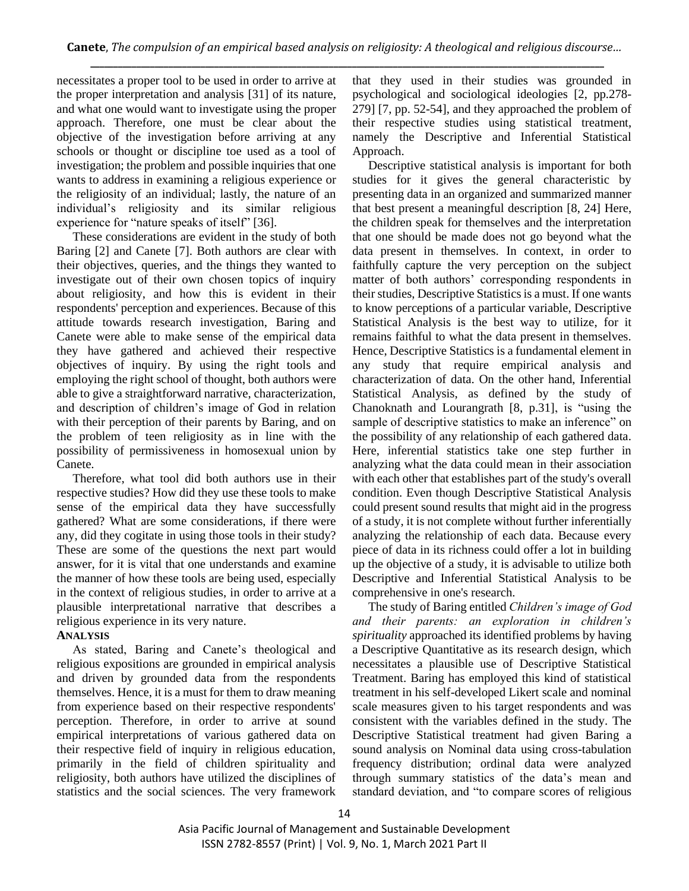necessitates a proper tool to be used in order to arrive at the proper interpretation and analysis [31] of its nature, and what one would want to investigate using the proper approach. Therefore, one must be clear about the objective of the investigation before arriving at any schools or thought or discipline toe used as a tool of investigation; the problem and possible inquiries that one wants to address in examining a religious experience or the religiosity of an individual; lastly, the nature of an individual's religiosity and its similar religious experience for "nature speaks of itself" [36].

These considerations are evident in the study of both Baring [2] and Canete [7]. Both authors are clear with their objectives, queries, and the things they wanted to investigate out of their own chosen topics of inquiry about religiosity, and how this is evident in their respondents' perception and experiences. Because of this attitude towards research investigation, Baring and Canete were able to make sense of the empirical data they have gathered and achieved their respective objectives of inquiry. By using the right tools and employing the right school of thought, both authors were able to give a straightforward narrative, characterization, and description of children's image of God in relation with their perception of their parents by Baring, and on the problem of teen religiosity as in line with the possibility of permissiveness in homosexual union by Canete.

Therefore, what tool did both authors use in their respective studies? How did they use these tools to make sense of the empirical data they have successfully gathered? What are some considerations, if there were any, did they cogitate in using those tools in their study? These are some of the questions the next part would answer, for it is vital that one understands and examine the manner of how these tools are being used, especially in the context of religious studies, in order to arrive at a plausible interpretational narrative that describes a religious experience in its very nature.

## **ANALYSIS**

As stated, Baring and Canete's theological and religious expositions are grounded in empirical analysis and driven by grounded data from the respondents themselves. Hence, it is a must for them to draw meaning from experience based on their respective respondents' perception. Therefore, in order to arrive at sound empirical interpretations of various gathered data on their respective field of inquiry in religious education, primarily in the field of children spirituality and religiosity, both authors have utilized the disciplines of statistics and the social sciences. The very framework

that they used in their studies was grounded in psychological and sociological ideologies [2, pp.278- 279] [7, pp. 52-54], and they approached the problem of their respective studies using statistical treatment, namely the Descriptive and Inferential Statistical Approach.

Descriptive statistical analysis is important for both studies for it gives the general characteristic by presenting data in an organized and summarized manner that best present a meaningful description [8, 24] Here, the children speak for themselves and the interpretation that one should be made does not go beyond what the data present in themselves. In context, in order to faithfully capture the very perception on the subject matter of both authors' corresponding respondents in their studies, Descriptive Statistics is a must. If one wants to know perceptions of a particular variable, Descriptive Statistical Analysis is the best way to utilize, for it remains faithful to what the data present in themselves. Hence, Descriptive Statistics is a fundamental element in any study that require empirical analysis and characterization of data. On the other hand, Inferential Statistical Analysis, as defined by the study of Chanoknath and Lourangrath [8, p.31], is "using the sample of descriptive statistics to make an inference" on the possibility of any relationship of each gathered data. Here, inferential statistics take one step further in analyzing what the data could mean in their association with each other that establishes part of the study's overall condition. Even though Descriptive Statistical Analysis could present sound results that might aid in the progress of a study, it is not complete without further inferentially analyzing the relationship of each data. Because every piece of data in its richness could offer a lot in building up the objective of a study, it is advisable to utilize both Descriptive and Inferential Statistical Analysis to be comprehensive in one's research.

The study of Baring entitled *Children's image of God and their parents: an exploration in children's spirituality* approached its identified problems by having a Descriptive Quantitative as its research design, which necessitates a plausible use of Descriptive Statistical Treatment. Baring has employed this kind of statistical treatment in his self-developed Likert scale and nominal scale measures given to his target respondents and was consistent with the variables defined in the study. The Descriptive Statistical treatment had given Baring a sound analysis on Nominal data using cross-tabulation frequency distribution; ordinal data were analyzed through summary statistics of the data's mean and standard deviation, and "to compare scores of religious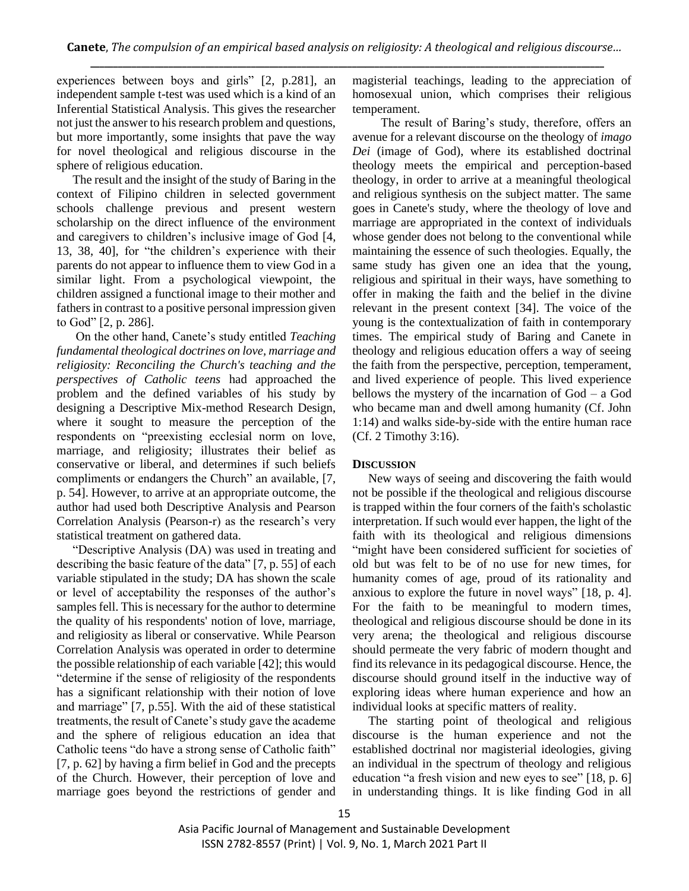experiences between boys and girls" [2, p.281], an independent sample t-test was used which is a kind of an Inferential Statistical Analysis. This gives the researcher not just the answer to his research problem and questions, but more importantly, some insights that pave the way for novel theological and religious discourse in the sphere of religious education.

The result and the insight of the study of Baring in the context of Filipino children in selected government schools challenge previous and present western scholarship on the direct influence of the environment and caregivers to children's inclusive image of God [4, 13, 38, 40], for "the children's experience with their parents do not appear to influence them to view God in a similar light. From a psychological viewpoint, the children assigned a functional image to their mother and fathers in contrast to a positive personal impression given to God" [2, p. 286].

On the other hand, Canete's study entitled *Teaching fundamental theological doctrines on love, marriage and religiosity: Reconciling the Church's teaching and the perspectives of Catholic teens* had approached the problem and the defined variables of his study by designing a Descriptive Mix-method Research Design, where it sought to measure the perception of the respondents on "preexisting ecclesial norm on love, marriage, and religiosity; illustrates their belief as conservative or liberal, and determines if such beliefs compliments or endangers the Church" an available, [7, p. 54]. However, to arrive at an appropriate outcome, the author had used both Descriptive Analysis and Pearson Correlation Analysis (Pearson-r) as the research's very statistical treatment on gathered data.

"Descriptive Analysis (DA) was used in treating and describing the basic feature of the data" [7, p. 55] of each variable stipulated in the study; DA has shown the scale or level of acceptability the responses of the author's samples fell. This is necessary for the author to determine the quality of his respondents' notion of love, marriage, and religiosity as liberal or conservative. While Pearson Correlation Analysis was operated in order to determine the possible relationship of each variable [42]; this would "determine if the sense of religiosity of the respondents has a significant relationship with their notion of love and marriage" [7, p.55]. With the aid of these statistical treatments, the result of Canete's study gave the academe and the sphere of religious education an idea that Catholic teens "do have a strong sense of Catholic faith" [7, p. 62] by having a firm belief in God and the precepts of the Church. However, their perception of love and marriage goes beyond the restrictions of gender and

magisterial teachings, leading to the appreciation of homosexual union, which comprises their religious temperament.

 The result of Baring's study, therefore, offers an avenue for a relevant discourse on the theology of *imago Dei* (image of God), where its established doctrinal theology meets the empirical and perception-based theology, in order to arrive at a meaningful theological and religious synthesis on the subject matter. The same goes in Canete's study, where the theology of love and marriage are appropriated in the context of individuals whose gender does not belong to the conventional while maintaining the essence of such theologies. Equally, the same study has given one an idea that the young, religious and spiritual in their ways, have something to offer in making the faith and the belief in the divine relevant in the present context [34]. The voice of the young is the contextualization of faith in contemporary times. The empirical study of Baring and Canete in theology and religious education offers a way of seeing the faith from the perspective, perception, temperament, and lived experience of people. This lived experience bellows the mystery of the incarnation of God – a God who became man and dwell among humanity (Cf. John 1:14) and walks side-by-side with the entire human race (Cf. 2 Timothy 3:16).

## **DISCUSSION**

New ways of seeing and discovering the faith would not be possible if the theological and religious discourse is trapped within the four corners of the faith's scholastic interpretation. If such would ever happen, the light of the faith with its theological and religious dimensions "might have been considered sufficient for societies of old but was felt to be of no use for new times, for humanity comes of age, proud of its rationality and anxious to explore the future in novel ways" [18, p. 4]. For the faith to be meaningful to modern times, theological and religious discourse should be done in its very arena; the theological and religious discourse should permeate the very fabric of modern thought and find its relevance in its pedagogical discourse. Hence, the discourse should ground itself in the inductive way of exploring ideas where human experience and how an individual looks at specific matters of reality.

The starting point of theological and religious discourse is the human experience and not the established doctrinal nor magisterial ideologies, giving an individual in the spectrum of theology and religious education "a fresh vision and new eyes to see" [18, p. 6] in understanding things. It is like finding God in all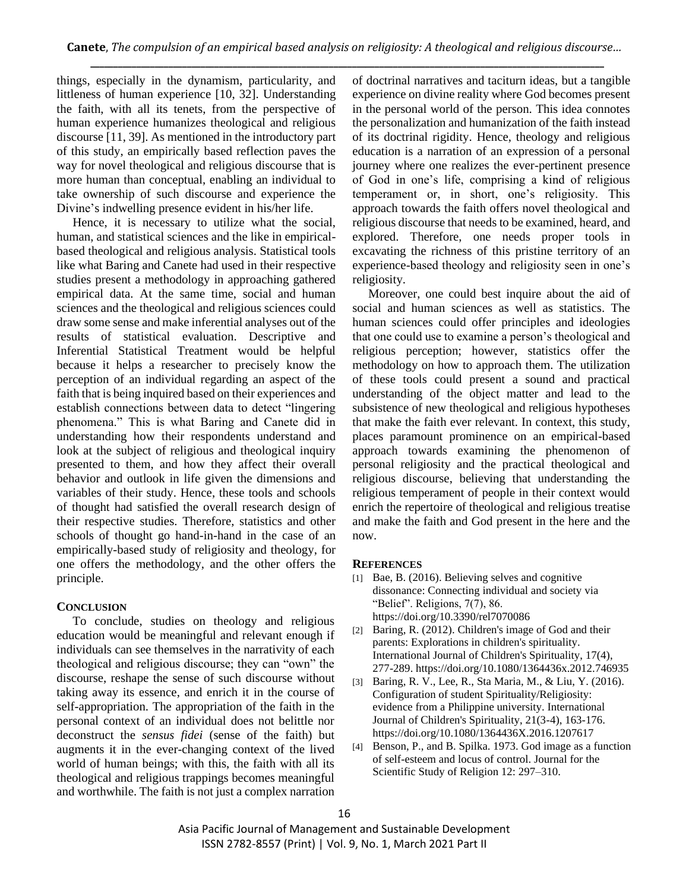things, especially in the dynamism, particularity, and littleness of human experience [10, 32]. Understanding the faith, with all its tenets, from the perspective of human experience humanizes theological and religious discourse [11, 39]. As mentioned in the introductory part of this study, an empirically based reflection paves the way for novel theological and religious discourse that is more human than conceptual, enabling an individual to take ownership of such discourse and experience the Divine's indwelling presence evident in his/her life.

Hence, it is necessary to utilize what the social, human, and statistical sciences and the like in empiricalbased theological and religious analysis. Statistical tools like what Baring and Canete had used in their respective studies present a methodology in approaching gathered empirical data. At the same time, social and human sciences and the theological and religious sciences could draw some sense and make inferential analyses out of the results of statistical evaluation. Descriptive and Inferential Statistical Treatment would be helpful because it helps a researcher to precisely know the perception of an individual regarding an aspect of the faith that is being inquired based on their experiences and establish connections between data to detect "lingering phenomena." This is what Baring and Canete did in understanding how their respondents understand and look at the subject of religious and theological inquiry presented to them, and how they affect their overall behavior and outlook in life given the dimensions and variables of their study. Hence, these tools and schools of thought had satisfied the overall research design of their respective studies. Therefore, statistics and other schools of thought go hand-in-hand in the case of an empirically-based study of religiosity and theology, for one offers the methodology, and the other offers the principle.

## **CONCLUSION**

To conclude, studies on theology and religious education would be meaningful and relevant enough if individuals can see themselves in the narrativity of each theological and religious discourse; they can "own" the discourse, reshape the sense of such discourse without taking away its essence, and enrich it in the course of self-appropriation. The appropriation of the faith in the personal context of an individual does not belittle nor deconstruct the *sensus fidei* (sense of the faith) but augments it in the ever-changing context of the lived world of human beings; with this, the faith with all its theological and religious trappings becomes meaningful and worthwhile. The faith is not just a complex narration

of doctrinal narratives and taciturn ideas, but a tangible experience on divine reality where God becomes present in the personal world of the person. This idea connotes the personalization and humanization of the faith instead of its doctrinal rigidity. Hence, theology and religious education is a narration of an expression of a personal journey where one realizes the ever-pertinent presence of God in one's life, comprising a kind of religious temperament or, in short, one's religiosity. This approach towards the faith offers novel theological and religious discourse that needs to be examined, heard, and explored. Therefore, one needs proper tools in excavating the richness of this pristine territory of an experience-based theology and religiosity seen in one's religiosity.

Moreover, one could best inquire about the aid of social and human sciences as well as statistics. The human sciences could offer principles and ideologies that one could use to examine a person's theological and religious perception; however, statistics offer the methodology on how to approach them. The utilization of these tools could present a sound and practical understanding of the object matter and lead to the subsistence of new theological and religious hypotheses that make the faith ever relevant. In context, this study, places paramount prominence on an empirical-based approach towards examining the phenomenon of personal religiosity and the practical theological and religious discourse, believing that understanding the religious temperament of people in their context would enrich the repertoire of theological and religious treatise and make the faith and God present in the here and the now.

## **REFERENCES**

- [1] Bae, B. (2016). Believing selves and cognitive dissonance: Connecting individual and society via "Belief". Religions, 7(7), 86. https://doi.org/10.3390/rel7070086
- [2] Baring, R. (2012). Children's image of God and their parents: Explorations in children's spirituality. International Journal of Children's Spirituality, 17(4), 277-289. https://doi.org/10.1080/1364436x.2012.746935
- [3] Baring, R. V., Lee, R., Sta Maria, M., & Liu, Y. (2016). Configuration of student Spirituality/Religiosity: evidence from a Philippine university. International Journal of Children's Spirituality, 21(3-4), 163-176. https://doi.org/10.1080/1364436X.2016.1207617
- [4] Benson, P., and B. Spilka. 1973. God image as a function of self-esteem and locus of control. Journal for the Scientific Study of Religion 12: 297–310.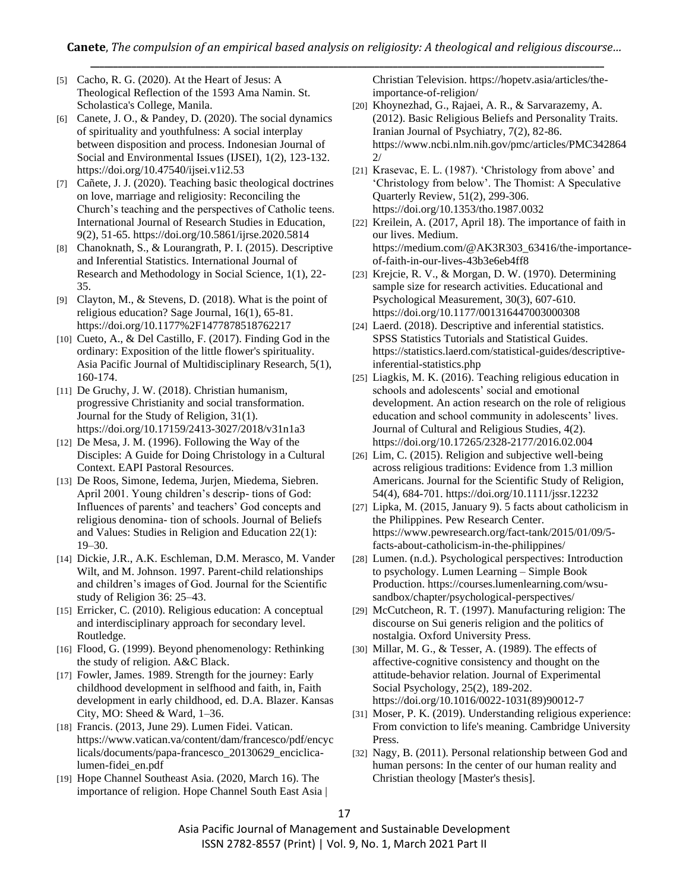- [5] Cacho, R. G. (2020). At the Heart of Jesus: A Theological Reflection of the 1593 Ama Namin. St. Scholastica's College, Manila.
- [6] Canete, J. O., & Pandey, D. (2020). The social dynamics of spirituality and youthfulness: A social interplay between disposition and process. Indonesian Journal of Social and Environmental Issues (IJSEI), 1(2), 123-132. https://doi.org/10.47540/ijsei.v1i2.53
- [7] Cañete, J. J. (2020). Teaching basic theological doctrines on love, marriage and religiosity: Reconciling the Church's teaching and the perspectives of Catholic teens. International Journal of Research Studies in Education, 9(2), 51-65. https://doi.org/10.5861/ijrse.2020.5814
- [8] Chanoknath, S., & Lourangrath, P. I. (2015). Descriptive and Inferential Statistics. International Journal of Research and Methodology in Social Science, 1(1), 22- 35.
- [9] Clayton, M., & Stevens, D. (2018). What is the point of religious education? Sage Journal, 16(1), 65-81. https://doi.org/10.1177%2F1477878518762217
- [10] Cueto, A., & Del Castillo, F. (2017). Finding God in the ordinary: Exposition of the little flower's spirituality. Asia Pacific Journal of Multidisciplinary Research, 5(1), 160-174.
- [11] De Gruchy, J. W. (2018). Christian humanism, progressive Christianity and social transformation. Journal for the Study of Religion, 31(1). https://doi.org/10.17159/2413-3027/2018/v31n1a3
- $[12]$  De Mesa, J. M. (1996). Following the Way of the Disciples: A Guide for Doing Christology in a Cultural Context. EAPI Pastoral Resources.
- [13] De Roos, Simone, Iedema, Jurjen, Miedema, Siebren. April 2001. Young children's descrip- tions of God: Influences of parents' and teachers' God concepts and religious denomina- tion of schools. Journal of Beliefs and Values: Studies in Religion and Education 22(1): 19–30.
- [14] Dickie, J.R., A.K. Eschleman, D.M. Merasco, M. Vander Wilt, and M. Johnson. 1997. Parent-child relationships and children's images of God. Journal for the Scientific study of Religion 36: 25–43.
- [15] Erricker, C. (2010). Religious education: A conceptual and interdisciplinary approach for secondary level. Routledge.
- [16] Flood, G. (1999). Beyond phenomenology: Rethinking the study of religion. A&C Black.
- [17] Fowler, James. 1989. Strength for the journey: Early childhood development in selfhood and faith, in, Faith development in early childhood, ed. D.A. Blazer. Kansas City, MO: Sheed & Ward, 1–36.
- [18] Francis. (2013, June 29). Lumen Fidei. Vatican. https://www.vatican.va/content/dam/francesco/pdf/encyc licals/documents/papa-francesco\_20130629\_enciclicalumen-fidei\_en.pdf
- [19] Hope Channel Southeast Asia. (2020, March 16). The importance of religion. Hope Channel South East Asia |

Christian Television. https://hopetv.asia/articles/theimportance-of-religion/

- [20] Khoynezhad, G., Rajaei, A. R., & Sarvarazemy, A. (2012). Basic Religious Beliefs and Personality Traits. Iranian Journal of Psychiatry, 7(2), 82-86. https://www.ncbi.nlm.nih.gov/pmc/articles/PMC342864 2/
- [21] Krasevac, E. L. (1987). 'Christology from above' and 'Christology from below'. The Thomist: A Speculative Quarterly Review, 51(2), 299-306. https://doi.org/10.1353/tho.1987.0032
- [22] Kreilein, A. (2017, April 18). The importance of faith in our lives. Medium. https://medium.com/@AK3R303\_63416/the-importanceof-faith-in-our-lives-43b3e6eb4ff8
- [23] Krejcie, R. V., & Morgan, D. W. (1970). Determining sample size for research activities. Educational and Psychological Measurement, 30(3), 607-610. https://doi.org/10.1177/001316447003000308
- [24] Laerd. (2018). Descriptive and inferential statistics. SPSS Statistics Tutorials and Statistical Guides. https://statistics.laerd.com/statistical-guides/descriptiveinferential-statistics.php
- [25] Liagkis, M. K. (2016). Teaching religious education in schools and adolescents' social and emotional development. An action research on the role of religious education and school community in adolescents' lives. Journal of Cultural and Religious Studies, 4(2). https://doi.org/10.17265/2328-2177/2016.02.004
- [26] Lim, C. (2015). Religion and subjective well-being across religious traditions: Evidence from 1.3 million Americans. Journal for the Scientific Study of Religion, 54(4), 684-701. https://doi.org/10.1111/jssr.12232
- [27] Lipka, M. (2015, January 9). 5 facts about catholicism in the Philippines. Pew Research Center. https://www.pewresearch.org/fact-tank/2015/01/09/5 facts-about-catholicism-in-the-philippines/
- [28] Lumen. (n.d.). Psychological perspectives: Introduction to psychology. Lumen Learning – Simple Book Production. https://courses.lumenlearning.com/wsusandbox/chapter/psychological-perspectives/
- [29] McCutcheon, R. T. (1997). Manufacturing religion: The discourse on Sui generis religion and the politics of nostalgia. Oxford University Press.
- [30] Millar, M. G., & Tesser, A. (1989). The effects of affective-cognitive consistency and thought on the attitude-behavior relation. Journal of Experimental Social Psychology, 25(2), 189-202. https://doi.org/10.1016/0022-1031(89)90012-7
- [31] Moser, P. K. (2019). Understanding religious experience: From conviction to life's meaning. Cambridge University Press.
- [32] Nagy, B. (2011). Personal relationship between God and human persons: In the center of our human reality and Christian theology [Master's thesis].